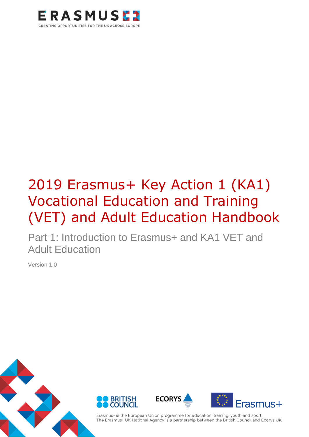

# 2019 Erasmus+ Key Action 1 (KA1) Vocational Education and Training (VET) and Adult Education Handbook

Part 1: Introduction to Erasmus+ and KA1 VET and Adult Education

Version 1.0



Erasmus+ is the European Union programme for education, training, youth and sport. The Erasmus+ UK National Agency is a partnership between the British Council and Ecorys UK.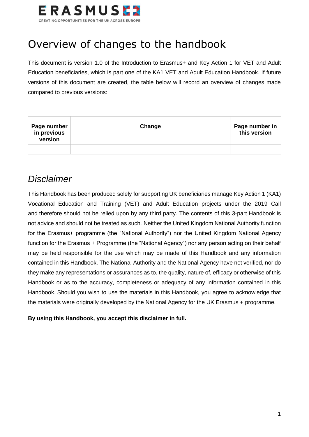

# <span id="page-1-0"></span>Overview of changes to the handbook

This document is version 1.0 of the Introduction to Erasmus+ and Key Action 1 for VET and Adult Education beneficiaries, which is part one of the KA1 VET and Adult Education Handbook. If future versions of this document are created, the table below will record an overview of changes made compared to previous versions:

| Page number<br>in previous<br>version | Change | Page number in<br>this version |
|---------------------------------------|--------|--------------------------------|
|                                       |        |                                |

#### *Disclaimer*

This Handbook has been produced solely for supporting UK beneficiaries manage Key Action 1 (KA1) Vocational Education and Training (VET) and Adult Education projects under the 2019 Call and therefore should not be relied upon by any third party. The contents of this 3-part Handbook is not advice and should not be treated as such. Neither the United Kingdom National Authority function for the Erasmus+ programme (the "National Authority") nor the United Kingdom National Agency function for the Erasmus + Programme (the "National Agency") nor any person acting on their behalf may be held responsible for the use which may be made of this Handbook and any information contained in this Handbook. The National Authority and the National Agency have not verified, nor do they make any representations or assurances as to, the quality, nature of, efficacy or otherwise of this Handbook or as to the accuracy, completeness or adequacy of any information contained in this Handbook. Should you wish to use the materials in this Handbook, you agree to acknowledge that the materials were originally developed by the National Agency for the UK Erasmus + programme.

**By using this Handbook, you accept this disclaimer in full.**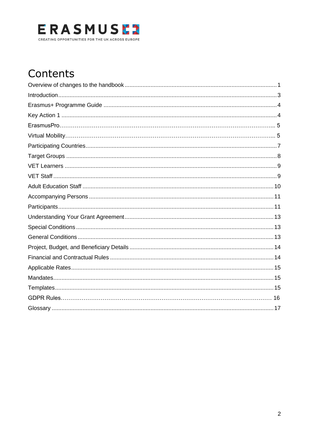

# Contents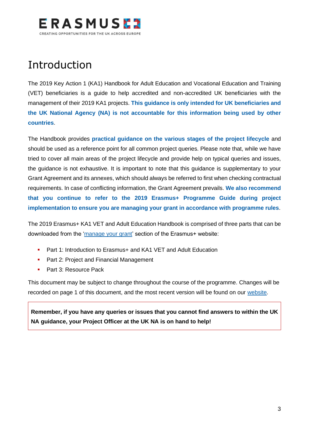

# <span id="page-3-0"></span>Introduction

The 2019 Key Action 1 (KA1) Handbook for Adult Education and Vocational Education and Training (VET) beneficiaries is a guide to help accredited and non-accredited UK beneficiaries with the management of their 2019 KA1 projects. **This guidance is only intended for UK beneficiaries and the UK National Agency (NA) is not accountable for this information being used by other countries**.

The Handbook provides **practical guidance on the various stages of the project lifecycle** and should be used as a reference point for all common project queries. Please note that, while we have tried to cover all main areas of the project lifecycle and provide help on typical queries and issues, the guidance is not exhaustive. It is important to note that this guidance is supplementary to your Grant Agreement and its annexes, which should always be referred to first when checking contractual requirements. In case of conflicting information, the Grant Agreement prevails. **We also recommend that you continue to refer to the 2019 Erasmus+ Programme Guide during project implementation to ensure you are managing your grant in accordance with programme rules**.

The 2019 Erasmus+ KA1 VET and Adult Education Handbook is comprised of three parts that can be downloaded from the ['manage your grant'](https://www.erasmusplus.org.uk/manage-your-grant-2) section of the Erasmus+ website:

- Part 1: Introduction to Erasmus+ and KA1 VET and Adult Education
- Part 2: Project and Financial Management
- Part 3: Resource Pack

This document may be subject to change throughout the course of the programme. Changes will be recorded on page 1 of this document, and the most recent version will be found on our [website.](https://www.erasmusplus.org.uk/erasmus-grants)

**Remember, if you have any queries or issues that you cannot find answers to within the UK NA guidance, your Project Officer at the UK NA is on hand to help!**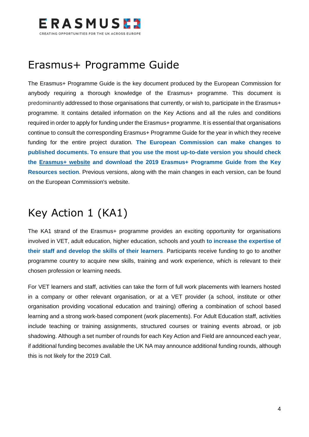

## <span id="page-4-0"></span>Erasmus+ Programme Guide

The Erasmus+ Programme Guide is the key document produced by the European Commission for anybody requiring a thorough knowledge of the Erasmus+ programme. This document is predominantly addressed to those organisations that currently, or wish to, participate in the Erasmus+ programme. It contains detailed information on the Key Actions and all the rules and conditions required in order to apply for funding under the Erasmus+ programme. It is essential that organisations continue to consult the corresponding Erasmus+ Programme Guide for the year in which they receive funding for the entire project duration. **The European Commission can make changes to published documents. To ensure that you use the most up-to-date version you should check the [Erasmus+ website](https://www.erasmusplus.org.uk/) and download the 2019 Erasmus+ Programme Guide from the Key Resources section**. Previous versions, along with the main changes in each version, can be found on the European Commission's website.

# <span id="page-4-1"></span>Key Action 1 (KA1)

The KA1 strand of the Erasmus+ programme provides an exciting opportunity for organisations involved in VET, adult education, higher education, schools and youth **to increase the expertise of their staff and develop the skills of their learners**. Participants receive funding to go to another programme country to acquire new skills, training and work experience, which is relevant to their chosen profession or learning needs.

For VET learners and staff, activities can take the form of full work placements with learners hosted in a company or other relevant organisation, or at a VET provider (a school, institute or other organisation providing vocational education and training) offering a combination of school based learning and a strong work-based component (work placements). For Adult Education staff, activities include teaching or training assignments, structured courses or training events abroad, or job shadowing. Although a set number of rounds for each Key Action and Field are announced each year, if additional funding becomes available the UK NA may announce additional funding rounds, although this is not likely for the 2019 Call.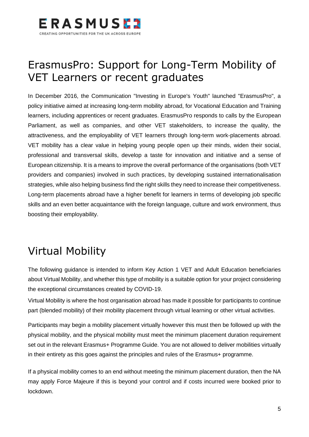

# ErasmusPro: Support for Long-Term Mobility of VET Learners or recent graduates

In December 2016, the Communication "Investing in Europe's Youth" launched "ErasmusPro", a policy initiative aimed at increasing long-term mobility abroad, for Vocational Education and Training learners, including apprentices or recent graduates. ErasmusPro responds to calls by the European Parliament, as well as companies, and other VET stakeholders, to increase the quality, the attractiveness, and the employability of VET learners through long-term work-placements abroad. VET mobility has a clear value in helping young people open up their minds, widen their social, professional and transversal skills, develop a taste for innovation and initiative and a sense of European citizenship. It is a means to improve the overall performance of the organisations (both VET providers and companies) involved in such practices, by developing sustained internationalisation strategies, while also helping business find the right skills they need to increase their competitiveness. Long-term placements abroad have a higher benefit for learners in terms of developing job specific skills and an even better acquaintance with the foreign language, culture and work environment, thus boosting their employability.

# Virtual Mobility

The following guidance is intended to inform Key Action 1 VET and Adult Education beneficiaries about Virtual Mobility, and whether this type of mobility is a suitable option for your project considering the exceptional circumstances created by COVID-19.

Virtual Mobility is where the host organisation abroad has made it possible for participants to continue part (blended mobility) of their mobility placement through virtual learning or other virtual activities.

Participants may begin a mobility placement virtually however this must then be followed up with the physical mobility, and the physical mobility must meet the minimum placement duration requirement set out in the relevant Erasmus+ Programme Guide. You are not allowed to deliver mobilities virtually in their entirety as this goes against the principles and rules of the Erasmus+ programme.

If a physical mobility comes to an end without meeting the minimum placement duration, then the NA may apply Force Majeure if this is beyond your control and if costs incurred were booked prior to lockdown.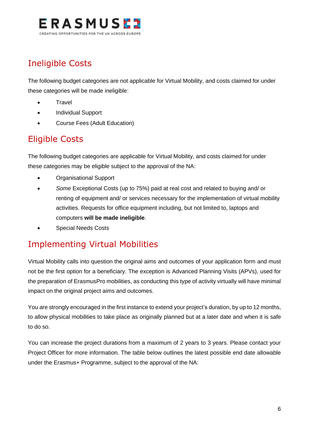

#### Ineligible Costs

The following budget categories are not applicable for Virtual Mobility, and costs claimed for under these categories will be made ineligible:

- **Travel**
- Individual Support
- Course Fees (Adult Education)

#### Eligible Costs

The following budget categories are applicable for Virtual Mobility, and costs claimed for under these categories may be eligible subject to the approval of the NA:

- Organisational Support
- *Some* Exceptional Costs (up to 75%) paid at real cost and related to buying and/ or renting of equipment and/ or services necessary for the implementation of virtual mobility activities. Requests for office equipment including, but not limited to, laptops and computers **will be made ineligible**.
- Special Needs Costs

#### Implementing Virtual Mobilities

Virtual Mobility calls into question the original aims and outcomes of your application form and must not be the first option for a beneficiary. The exception is Advanced Planning Visits (APVs), used for the preparation of ErasmusPro mobilities, as conducting this type of activity virtually will have minimal impact on the original project aims and outcomes.

You are strongly encouraged in the first instance to extend your project's duration, by up to 12 months, to allow physical mobilities to take place as originally planned but at a later date and when it is safe to do so.

You can increase the project durations from a maximum of 2 years to 3 years. Please contact your Project Officer for more information. The table below outlines the latest possible end date allowable under the Erasmus+ Programme, subject to the approval of the NA: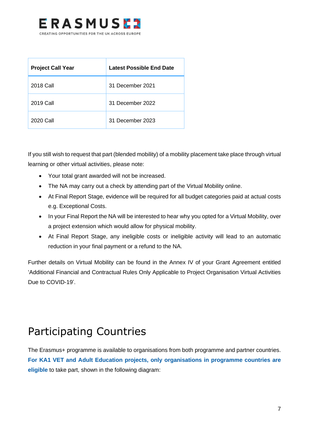

| <b>Project Call Year</b> | <b>Latest Possible End Date</b> |
|--------------------------|---------------------------------|
| 2018 Call                | 31 December 2021                |
| 2019 Call                | 31 December 2022                |
| 2020 Call                | 31 December 2023                |

If you still wish to request that part (blended mobility) of a mobility placement take place through virtual learning or other virtual activities, please note:

- Your total grant awarded will not be increased.
- The NA may carry out a check by attending part of the Virtual Mobility online.
- At Final Report Stage, evidence will be required for all budget categories paid at actual costs e.g. Exceptional Costs.
- In your Final Report the NA will be interested to hear why you opted for a Virtual Mobility, over a project extension which would allow for physical mobility.
- At Final Report Stage, any ineligible costs or ineligible activity will lead to an automatic reduction in your final payment or a refund to the NA.

Further details on Virtual Mobility can be found in the Annex IV of your Grant Agreement entitled 'Additional Financial and Contractual Rules Only Applicable to Project Organisation Virtual Activities Due to COVID-19'.

# <span id="page-7-0"></span>Participating Countries

The Erasmus+ programme is available to organisations from both programme and partner countries. **For KA1 VET and Adult Education projects, only organisations in programme countries are eligible** to take part, shown in the following diagram: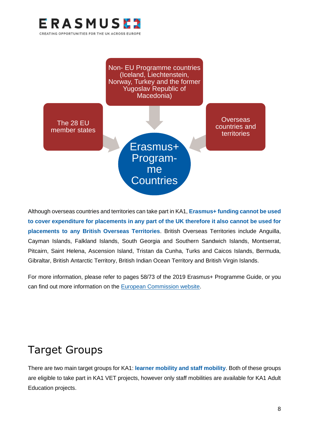

Non- EU Programme countries (Iceland, Liechtenstein, Norway, Turkey and the former Yugoslav Republic of Macedonia)

Erasmus+

Programme

**Countries** 

The 28 EU member states

**Overseas** countries and **territories** 

Although overseas countries and territories can take part in KA1, **Erasmus+ funding cannot be used to cover expenditure for placements in any part of the UK therefore it also cannot be used for placements to any British Overseas Territories**. British Overseas Territories include Anguilla, Cayman Islands, Falkland Islands, South Georgia and Southern Sandwich Islands, Montserrat, Pitcairn, Saint Helena, Ascension Island, Tristan da Cunha, Turks and Caicos Islands, Bermuda, Gibraltar, British Antarctic Territory, British Indian Ocean Territory and British Virgin Islands.

For more information, please refer to pages 58/73 of the 2019 Erasmus+ Programme Guide, or you can find out more information on the [European Commission website.](http://ec.europa.eu/regional_policy/en/policy/themes/outermost-regions/#2)

# <span id="page-8-0"></span>Target Groups

There are two main target groups for KA1: **learner mobility and staff mobility**. Both of these groups are eligible to take part in KA1 VET projects, however only staff mobilities are available for KA1 Adult Education projects.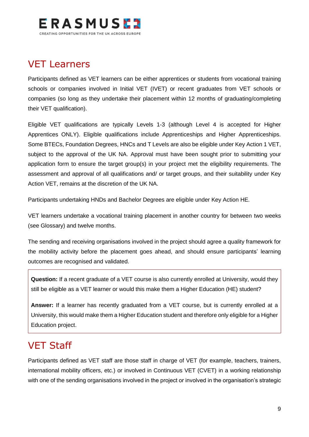

#### <span id="page-9-0"></span>VET Learners

Participants defined as VET learners can be either apprentices or students from vocational training schools or companies involved in Initial VET (IVET) or recent graduates from VET schools or companies (so long as they undertake their placement within 12 months of graduating/completing their VET qualification).

Eligible VET qualifications are typically Levels 1-3 (although Level 4 is accepted for Higher Apprentices ONLY). Eligible qualifications include Apprenticeships and Higher Apprenticeships. Some BTECs, Foundation Degrees, HNCs and T Levels are also be eligible under Key Action 1 VET, subject to the approval of the UK NA. Approval must have been sought prior to submitting your application form to ensure the target group(s) in your project met the eligibility requirements. The assessment and approval of all qualifications and/ or target groups, and their suitability under Key Action VET, remains at the discretion of the UK NA.

Participants undertaking HNDs and Bachelor Degrees are eligible under Key Action HE.

VET learners undertake a vocational training placement in another country for between two weeks (see Glossary) and twelve months.

The sending and receiving organisations involved in the project should agree a quality framework for the mobility activity before the placement goes ahead, and should ensure participants' learning outcomes are recognised and validated.

**Question:** If a recent graduate of a VET course is also currently enrolled at University, would they still be eligible as a VET learner or would this make them a Higher Education (HE) student?

**Answer:** If a learner has recently graduated from a VET course, but is currently enrolled at a University, this would make them a Higher Education student and therefore only eligible for a Higher Education project.

#### <span id="page-9-1"></span>VET Staff

Participants defined as VET staff are those staff in charge of VET (for example, teachers, trainers, international mobility officers, etc.) or involved in Continuous VET (CVET) in a working relationship with one of the sending organisations involved in the project or involved in the organisation's strategic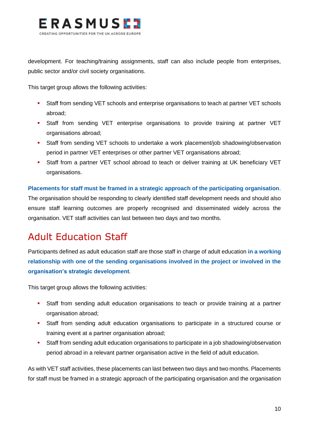

development. For teaching/training assignments, staff can also include people from enterprises, public sector and/or civil society organisations.

This target group allows the following activities:

- **EXECT:** Staff from sending VET schools and enterprise organisations to teach at partner VET schools abroad;
- Staff from sending VET enterprise organisations to provide training at partner VET organisations abroad;
- **•** Staff from sending VET schools to undertake a work placement/job shadowing/observation period in partner VET enterprises or other partner VET organisations abroad;
- **•** Staff from a partner VET school abroad to teach or deliver training at UK beneficiary VET organisations.

#### **Placements for staff must be framed in a strategic approach of the participating organisation**.

The organisation should be responding to clearly identified staff development needs and should also ensure staff learning outcomes are properly recognised and disseminated widely across the organisation. VET staff activities can last between two days and two months.

### <span id="page-10-0"></span>Adult Education Staff

Participants defined as adult education staff are those staff in charge of adult education **in a working relationship with one of the sending organisations involved in the project or involved in the organisation's strategic development**.

This target group allows the following activities:

- **•** Staff from sending adult education organisations to teach or provide training at a partner organisation abroad;
- **·** Staff from sending adult education organisations to participate in a structured course or training event at a partner organisation abroad;
- Staff from sending adult education organisations to participate in a job shadowing/observation period abroad in a relevant partner organisation active in the field of adult education.

As with VET staff activities, these placements can last between two days and two months. Placements for staff must be framed in a strategic approach of the participating organisation and the organisation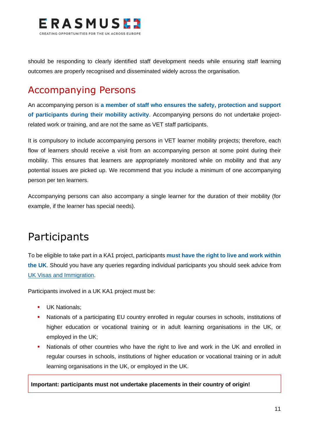

should be responding to clearly identified staff development needs while ensuring staff learning outcomes are properly recognised and disseminated widely across the organisation.

#### <span id="page-11-0"></span>Accompanying Persons

An accompanying person is **a member of staff who ensures the safety, protection and support of participants during their mobility activity**. Accompanying persons do not undertake projectrelated work or training, and are not the same as VET staff participants.

It is compulsory to include accompanying persons in VET learner mobility projects; therefore, each flow of learners should receive a visit from an accompanying person at some point during their mobility. This ensures that learners are appropriately monitored while on mobility and that any potential issues are picked up. We recommend that you include a minimum of one accompanying person per ten learners.

Accompanying persons can also accompany a single learner for the duration of their mobility (for example, if the learner has special needs).

# <span id="page-11-1"></span>Participants

To be eligible to take part in a KA1 project, participants **must have the right to live and work within the UK**. Should you have any queries regarding individual participants you should seek advice from [UK Visas and Immigration.](https://www.gov.uk/government/organisations/uk-visas-and-immigration)

Participants involved in a UK KA1 project must be:

- **UK Nationals:**
- Nationals of a participating EU country enrolled in regular courses in schools, institutions of higher education or vocational training or in adult learning organisations in the UK, or employed in the UK;
- Nationals of other countries who have the right to live and work in the UK and enrolled in regular courses in schools, institutions of higher education or vocational training or in adult learning organisations in the UK, or employed in the UK.

**Important: participants must not undertake placements in their country of origin!**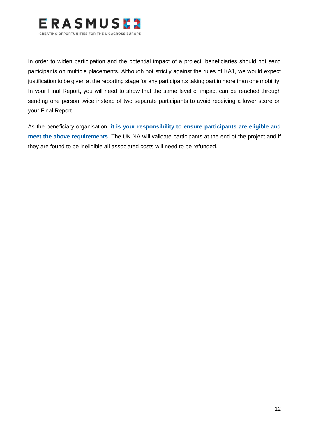

In order to widen participation and the potential impact of a project, beneficiaries should not send participants on multiple placements. Although not strictly against the rules of KA1, we would expect justification to be given at the reporting stage for any participants taking part in more than one mobility. In your Final Report, you will need to show that the same level of impact can be reached through sending one person twice instead of two separate participants to avoid receiving a lower score on your Final Report.

As the beneficiary organisation, **it is your responsibility to ensure participants are eligible and meet the above requirements**. The UK NA will validate participants at the end of the project and if they are found to be ineligible all associated costs will need to be refunded.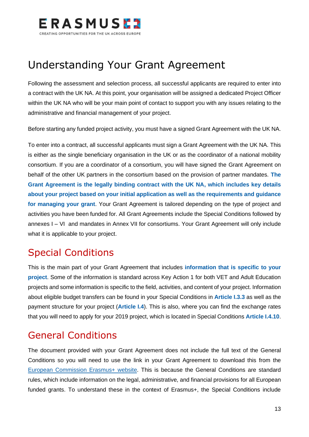

# <span id="page-13-0"></span>Understanding Your Grant Agreement

Following the assessment and selection process, all successful applicants are required to enter into a contract with the UK NA. At this point, your organisation will be assigned a dedicated Project Officer within the UK NA who will be your main point of contact to support you with any issues relating to the administrative and financial management of your project.

Before starting any funded project activity, you must have a signed Grant Agreement with the UK NA.

To enter into a contract, all successful applicants must sign a Grant Agreement with the UK NA. This is either as the single beneficiary organisation in the UK or as the coordinator of a national mobility consortium. If you are a coordinator of a consortium, you will have signed the Grant Agreement on behalf of the other UK partners in the consortium based on the provision of partner mandates. **The Grant Agreement is the legally binding contract with the UK NA, which includes key details about your project based on your initial application as well as the requirements and guidance for managing your grant**. Your Grant Agreement is tailored depending on the type of project and activities you have been funded for. All Grant Agreements include the Special Conditions followed by annexes I – VI and mandates in Annex VII for consortiums. Your Grant Agreement will only include what it is applicable to your project.

### <span id="page-13-1"></span>Special Conditions

This is the main part of your Grant Agreement that includes **information that is specific to your project**. Some of the information is standard across Key Action 1 for both VET and Adult Education projects and some information is specific to the field, activities, and content of your project. Information about eligible budget transfers can be found in your Special Conditions in **Article I.3.3** as well as the payment structure for your project (**Article I.4**). This is also, where you can find the exchange rates that you will need to apply for your 2019 project, which is located in Special Conditions **Article I.4.10**.

#### <span id="page-13-2"></span>General Conditions

The document provided with your Grant Agreement does not include the full text of the General Conditions so you will need to use the link in your Grant Agreement to download this from the [European Commission Erasmus+ website.](https://ec.europa.eu/programmes/erasmus-plus/resources/documents-for-applicants/model-grant-agreements_en) This is because the General Conditions are standard rules, which include information on the legal, administrative, and financial provisions for all European funded grants. To understand these in the context of Erasmus+, the Special Conditions include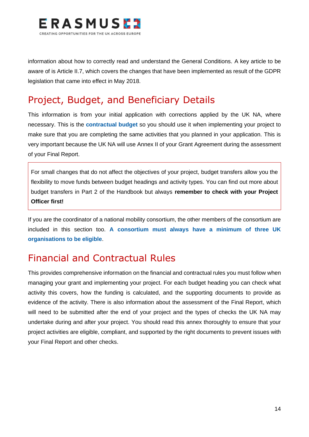

information about how to correctly read and understand the General Conditions. A key article to be aware of is Article II.7, which covers the changes that have been implemented as result of the GDPR legislation that came into effect in May 2018.

#### <span id="page-14-0"></span>Project, Budget, and Beneficiary Details

This information is from your initial application with corrections applied by the UK NA, where necessary. This is the **contractual budget** so you should use it when implementing your project to make sure that you are completing the same activities that you planned in your application. This is very important because the UK NA will use Annex II of your Grant Agreement during the assessment of your Final Report.

For small changes that do not affect the objectives of your project, budget transfers allow you the flexibility to move funds between budget headings and activity types. You can find out more about budget transfers in Part 2 of the Handbook but always **remember to check with your Project Officer first!**

If you are the coordinator of a national mobility consortium, the other members of the consortium are included in this section too. **A consortium must always have a minimum of three UK organisations to be eligible**.

#### <span id="page-14-1"></span>Financial and Contractual Rules

This provides comprehensive information on the financial and contractual rules you must follow when managing your grant and implementing your project. For each budget heading you can check what activity this covers, how the funding is calculated, and the supporting documents to provide as evidence of the activity. There is also information about the assessment of the Final Report, which will need to be submitted after the end of your project and the types of checks the UK NA may undertake during and after your project. You should read this annex thoroughly to ensure that your project activities are eligible, compliant, and supported by the right documents to prevent issues with your Final Report and other checks.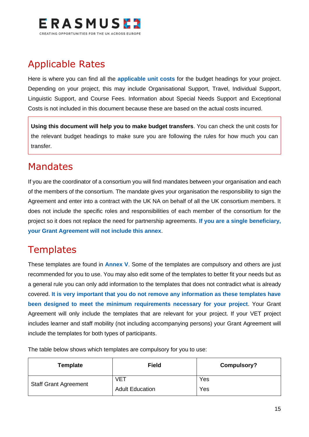

#### <span id="page-15-0"></span>Applicable Rates

Here is where you can find all the **applicable unit costs** for the budget headings for your project. Depending on your project, this may include Organisational Support, Travel, Individual Support, Linguistic Support, and Course Fees. Information about Special Needs Support and Exceptional Costs is not included in this document because these are based on the actual costs incurred.

**Using this document will help you to make budget transfers**. You can check the unit costs for the relevant budget headings to make sure you are following the rules for how much you can transfer.

#### <span id="page-15-1"></span>Mandates

If you are the coordinator of a consortium you will find mandates between your organisation and each of the members of the consortium. The mandate gives your organisation the responsibility to sign the Agreement and enter into a contract with the UK NA on behalf of all the UK consortium members. It does not include the specific roles and responsibilities of each member of the consortium for the project so it does not replace the need for partnership agreements. **If you are a single beneficiary, your Grant Agreement will not include this annex**.

#### <span id="page-15-2"></span>**Templates**

These templates are found in **Annex V**. Some of the templates are compulsory and others are just recommended for you to use. You may also edit some of the templates to better fit your needs but as a general rule you can only add information to the templates that does not contradict what is already covered. **It is very important that you do not remove any information as these templates have been designed to meet the minimum requirements necessary for your project**. Your Grant Agreement will only include the templates that are relevant for your project. If your VET project includes learner and staff mobility (not including accompanying persons) your Grant Agreement will include the templates for both types of participants.

The table below shows which templates are compulsory for you to use:

| Template                     | <b>Field</b>           | Compulsory? |
|------------------------------|------------------------|-------------|
| <b>Staff Grant Agreement</b> | <b>VET</b>             | Yes         |
|                              | <b>Adult Education</b> | Yes         |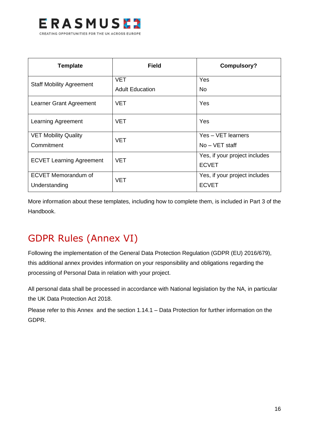

| <b>Template</b>                 | <b>Field</b>           | <b>Compulsory?</b>            |
|---------------------------------|------------------------|-------------------------------|
| <b>Staff Mobility Agreement</b> | <b>VET</b>             | Yes                           |
|                                 | <b>Adult Education</b> | <b>No</b>                     |
| Learner Grant Agreement         | <b>VET</b>             | Yes                           |
| Learning Agreement              | <b>VET</b>             | Yes                           |
| <b>VET Mobility Quality</b>     | <b>VET</b>             | Yes - VET learners            |
| Commitment                      |                        | $No - VET$ staff              |
| <b>ECVET Learning Agreement</b> | <b>VET</b>             | Yes, if your project includes |
|                                 |                        | <b>ECVET</b>                  |
| <b>ECVET Memorandum of</b>      | <b>VET</b>             | Yes, if your project includes |
| Understanding                   |                        | <b>ECVET</b>                  |

More information about these templates, including how to complete them, is included in Part 3 of the Handbook.

### GDPR Rules (Annex VI)

Following the implementation of the General Data Protection Regulation (GDPR (EU) 2016/679), this additional annex provides information on your responsibility and obligations regarding the processing of Personal Data in relation with your project.

All personal data shall be processed in accordance with National legislation by the NA, in particular the UK Data Protection Act 2018.

Please refer to this Annex and the section 1.14.1 – Data Protection for further information on the GDPR.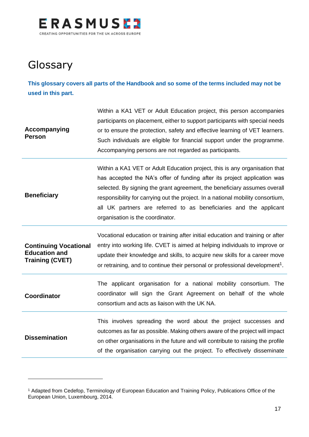

# <span id="page-17-0"></span>**Glossary**

**This glossary covers all parts of the Handbook and so some of the terms included may not be used in this part.**

| Accompanying<br><b>Person</b>                                                  | Within a KA1 VET or Adult Education project, this person accompanies<br>participants on placement, either to support participants with special needs<br>or to ensure the protection, safety and effective learning of VET learners.<br>Such individuals are eligible for financial support under the programme.<br>Accompanying persons are not regarded as participants.                                                        |
|--------------------------------------------------------------------------------|----------------------------------------------------------------------------------------------------------------------------------------------------------------------------------------------------------------------------------------------------------------------------------------------------------------------------------------------------------------------------------------------------------------------------------|
| <b>Beneficiary</b>                                                             | Within a KA1 VET or Adult Education project, this is any organisation that<br>has accepted the NA's offer of funding after its project application was<br>selected. By signing the grant agreement, the beneficiary assumes overall<br>responsibility for carrying out the project. In a national mobility consortium,<br>all UK partners are referred to as beneficiaries and the applicant<br>organisation is the coordinator. |
| <b>Continuing Vocational</b><br><b>Education and</b><br><b>Training (CVET)</b> | Vocational education or training after initial education and training or after<br>entry into working life. CVET is aimed at helping individuals to improve or<br>update their knowledge and skills, to acquire new skills for a career move<br>or retraining, and to continue their personal or professional development <sup>1</sup> .                                                                                          |
| <b>Coordinator</b>                                                             | The applicant organisation for a national mobility consortium. The<br>coordinator will sign the Grant Agreement on behalf of the whole<br>consortium and acts as liaison with the UK NA.                                                                                                                                                                                                                                         |
| <b>Dissemination</b>                                                           | This involves spreading the word about the project successes and<br>outcomes as far as possible. Making others aware of the project will impact<br>on other organisations in the future and will contribute to raising the profile<br>of the organisation carrying out the project. To effectively disseminate                                                                                                                   |

<sup>1</sup> Adapted from Cedefop, Terminology of European Education and Training Policy, Publications Office of the European Union, Luxembourg, 2014.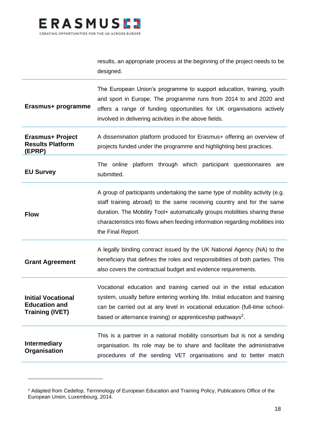

results, an appropriate process at the beginning of the project needs to be designed.

| Erasmus+ programme                                                          | The European Union's programme to support education, training, youth<br>and sport in Europe. The programme runs from 2014 to and 2020 and<br>offers a range of funding opportunities for UK organisations actively<br>involved in delivering activities in the above fields.                                                              |
|-----------------------------------------------------------------------------|-------------------------------------------------------------------------------------------------------------------------------------------------------------------------------------------------------------------------------------------------------------------------------------------------------------------------------------------|
| Erasmus+ Project<br><b>Results Platform</b><br>(EPRP)                       | A dissemination platform produced for Erasmus+ offering an overview of<br>projects funded under the programme and highlighting best practices.                                                                                                                                                                                            |
| <b>EU Survey</b>                                                            | platform through which participant questionnaires<br>The online<br>are<br>submitted.                                                                                                                                                                                                                                                      |
| <b>Flow</b>                                                                 | A group of participants undertaking the same type of mobility activity (e.g.<br>staff training abroad) to the same receiving country and for the same<br>duration. The Mobility Tool+ automatically groups mobilities sharing these<br>characteristics into flows when feeding information regarding mobilities into<br>the Final Report. |
| <b>Grant Agreement</b>                                                      | A legally binding contract issued by the UK National Agency (NA) to the<br>beneficiary that defines the roles and responsibilities of both parties. This<br>also covers the contractual budget and evidence requirements.                                                                                                                 |
| <b>Initial Vocational</b><br><b>Education and</b><br><b>Training (IVET)</b> | Vocational education and training carried out in the initial education<br>system, usually before entering working life. Initial education and training<br>can be carried out at any level in vocational education (full-time school-<br>based or alternance training) or apprenticeship pathways <sup>2</sup> .                           |
| <b>Intermediary</b><br>Organisation                                         | This is a partner in a national mobility consortium but is not a sending<br>organisation. Its role may be to share and facilitate the administrative<br>procedures of the sending VET organisations and to better match                                                                                                                   |

<sup>&</sup>lt;sup>2</sup> Adapted from Cedefop, Terminology of European Education and Training Policy, Publications Office of the European Union, Luxembourg, 2014.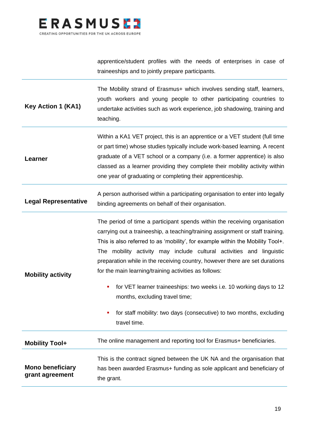

apprentice/student profiles with the needs of enterprises in case of traineeships and to jointly prepare participants.

**Key Action 1 (KA1)** The Mobility strand of Erasmus+ which involves sending staff, learners, youth workers and young people to other participating countries to undertake activities such as work experience, job shadowing, training and teaching. **Learner** Within a KA1 VET project, this is an apprentice or a VET student (full time or part time) whose studies typically include work-based learning. A recent graduate of a VET school or a company (i.e. a former apprentice) is also classed as a learner providing they complete their mobility activity within one year of graduating or completing their apprenticeship.

**Legal Representative** A person authorised within a participating organisation to enter into legally binding agreements on behalf of their organisation.

**Mobility activity** The period of time a participant spends within the receiving organisation carrying out a traineeship, a teaching/training assignment or staff training. This is also referred to as 'mobility', for example within the Mobility Tool+. The mobility activity may include cultural activities and linguistic preparation while in the receiving country, however there are set durations for the main learning/training activities as follows:

- for VET learner traineeships: two weeks i.e. 10 working days to 12 months, excluding travel time;
	- for staff mobility: two days (consecutive) to two months, excluding travel time.

| <b>Mobility Tool+</b>   | The online management and reporting tool for Erasmus+ beneficiaries.                                                                              |
|-------------------------|---------------------------------------------------------------------------------------------------------------------------------------------------|
| <b>Mono beneficiary</b> | This is the contract signed between the UK NA and the organisation that<br>has been awarded Erasmus+ funding as sole applicant and beneficiary of |
| grant agreement         | the grant.                                                                                                                                        |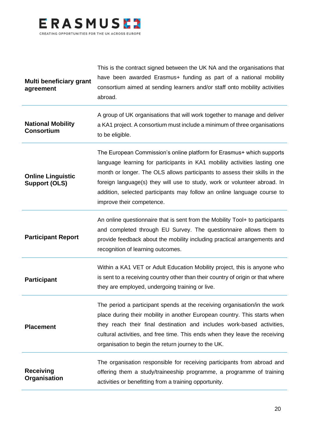

| Multi beneficiary grant<br>agreement             | This is the contract signed between the UK NA and the organisations that<br>have been awarded Erasmus+ funding as part of a national mobility<br>consortium aimed at sending learners and/or staff onto mobility activities<br>abroad.                                                                                                                                                                               |
|--------------------------------------------------|----------------------------------------------------------------------------------------------------------------------------------------------------------------------------------------------------------------------------------------------------------------------------------------------------------------------------------------------------------------------------------------------------------------------|
| <b>National Mobility</b><br><b>Consortium</b>    | A group of UK organisations that will work together to manage and deliver<br>a KA1 project. A consortium must include a minimum of three organisations<br>to be eligible.                                                                                                                                                                                                                                            |
| <b>Online Linguistic</b><br><b>Support (OLS)</b> | The European Commission's online platform for Erasmus+ which supports<br>language learning for participants in KA1 mobility activities lasting one<br>month or longer. The OLS allows participants to assess their skills in the<br>foreign language(s) they will use to study, work or volunteer abroad. In<br>addition, selected participants may follow an online language course to<br>improve their competence. |
| <b>Participant Report</b>                        | An online questionnaire that is sent from the Mobility Tool+ to participants<br>and completed through EU Survey. The questionnaire allows them to<br>provide feedback about the mobility including practical arrangements and<br>recognition of learning outcomes.                                                                                                                                                   |
| <b>Participant</b>                               | Within a KA1 VET or Adult Education Mobility project, this is anyone who<br>is sent to a receiving country other than their country of origin or that where<br>they are employed, undergoing training or live.                                                                                                                                                                                                       |
| <b>Placement</b>                                 | The period a participant spends at the receiving organisation/in the work<br>place during their mobility in another European country. This starts when<br>they reach their final destination and includes work-based activities,<br>cultural activities, and free time. This ends when they leave the receiving<br>organisation to begin the return journey to the UK.                                               |
| <b>Receiving</b><br>Organisation                 | The organisation responsible for receiving participants from abroad and<br>offering them a study/traineeship programme, a programme of training<br>activities or benefitting from a training opportunity.                                                                                                                                                                                                            |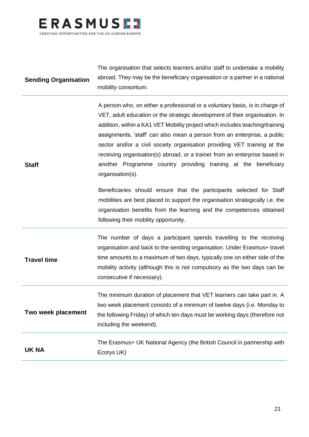

| <b>Sending Organisation</b> | The organisation that selects learners and/or staff to undertake a mobility<br>abroad. They may be the beneficiary organisation or a partner in a national<br>mobility consortium.                                                                                                                                                                                                                                                                                                                                                                                       |
|-----------------------------|--------------------------------------------------------------------------------------------------------------------------------------------------------------------------------------------------------------------------------------------------------------------------------------------------------------------------------------------------------------------------------------------------------------------------------------------------------------------------------------------------------------------------------------------------------------------------|
| <b>Staff</b>                | A person who, on either a professional or a voluntary basis, is in charge of<br>VET, adult education or the strategic development of their organisation. In<br>addition, within a KA1 VET Mobility project which includes teaching/training<br>assignments, 'staff' can also mean a person from an enterprise, a public<br>sector and/or a civil society organisation providing VET training at the<br>receiving organisation(s) abroad, or a trainer from an enterprise based in<br>another Programme country providing training at the beneficiary<br>organisation(s). |
|                             | Beneficiaries should ensure that the participants selected for Staff<br>mobilities are best placed to support the organisation strategically i.e. the<br>organisation benefits from the learning and the competences obtained<br>following their mobility opportunity.                                                                                                                                                                                                                                                                                                   |
| <b>Travel time</b>          | The number of days a participant spends travelling to the receiving<br>organisation and back to the sending organisation. Under Erasmus+ travel<br>time amounts to a maximum of two days, typically one on either side of the<br>mobility activity (although this is not compulsory as the two days can be<br>consecutive if necessary).                                                                                                                                                                                                                                 |
| Two week placement          | The minimum duration of placement that VET learners can take part in. A<br>two week placement consists of a minimum of twelve days (i.e. Monday to<br>the following Friday) of which ten days must be working days (therefore not<br>including the weekend).                                                                                                                                                                                                                                                                                                             |
| <b>UK NA</b>                | The Erasmus+ UK National Agency (the British Council in partnership with<br>Ecorys UK)                                                                                                                                                                                                                                                                                                                                                                                                                                                                                   |